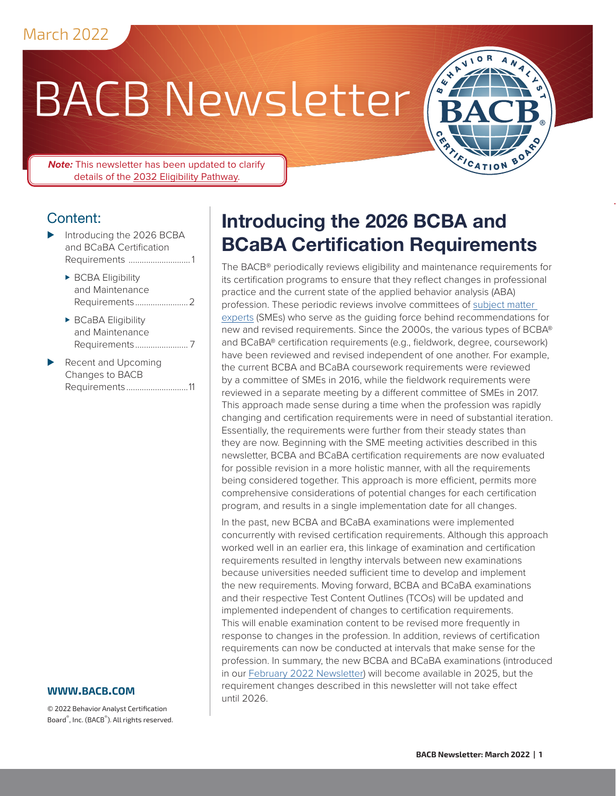# BACB Newsletter



.

*Note:* This newsletter has been updated to clarify details of the [2032 Eligibility Pathway](#page-2-0).

## Content:

- Introducing the 2026 BCBA and BCaBA Certification Requirements ............................ 1
	- ► BCBA Eligibility [and Maintenance](#page-1-0)  [Requirements........................2](#page-1-0)
	- ► BCaBA Eligibility [and Maintenance](#page-6-0)  [Requirements........................](#page-6-0) 7
- Recent and Upcoming [Changes to BACB](#page-10-0)  Requirements [............................11](#page-10-0)

#### **www[.bacb.com](http://www.bacb.com)**

© 2022 Behavior Analyst Certification Board® , Inc. (BACB® ). All rights reserved.

# **Introducing the 2026 BCBA and BCaBA Certification Requirements**

The BACB® periodically reviews eligibility and maintenance requirements for its certification programs to ensure that they reflect changes in professional practice and the current state of the applied behavior analysis (ABA) profession. These periodic reviews involve committees of [subject matter](https://www.bacb.com/bacb-subject-matter-expert-information/)  [experts](https://www.bacb.com/bacb-subject-matter-expert-information/) (SMEs) who serve as the guiding force behind recommendations for new and revised requirements. Since the 2000s, the various types of BCBA® and BCaBA® certification requirements (e.g., fieldwork, degree, coursework) have been reviewed and revised independent of one another. For example, the current BCBA and BCaBA coursework requirements were reviewed by a committee of SMEs in 2016, while the fieldwork requirements were reviewed in a separate meeting by a different committee of SMEs in 2017. This approach made sense during a time when the profession was rapidly changing and certification requirements were in need of substantial iteration. Essentially, the requirements were further from their steady states than they are now. Beginning with the SME meeting activities described in this newsletter, BCBA and BCaBA certification requirements are now evaluated for possible revision in a more holistic manner, with all the requirements being considered together. This approach is more efficient, permits more comprehensive considerations of potential changes for each certification program, and results in a single implementation date for all changes.

In the past, new BCBA and BCaBA examinations were implemented concurrently with revised certification requirements. Although this approach worked well in an earlier era, this linkage of examination and certification requirements resulted in lengthy intervals between new examinations because universities needed sufficient time to develop and implement the new requirements. Moving forward, BCBA and BCaBA examinations and their respective Test Content Outlines (TCOs) will be updated and implemented independent of changes to certification requirements. This will enable examination content to be revised more frequently in response to changes in the profession. In addition, reviews of certification requirements can now be conducted at intervals that make sense for the profession. In summary, the new BCBA and BCaBA examinations (introduced in our [February 2022 Newsletter](https://www.bacb.com/wp-content/Feb2022_Newsletter/)) will become available in 2025, but the requirement changes described in this newsletter will not take effect until 2026.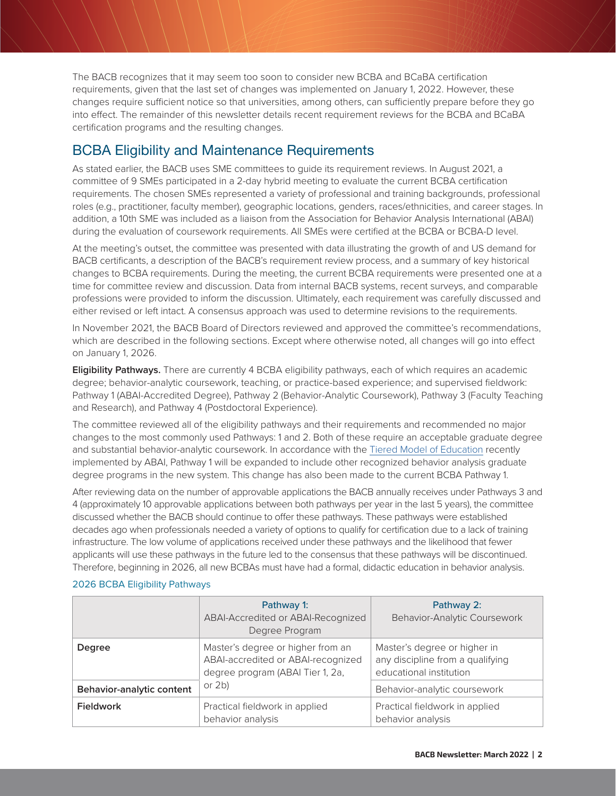<span id="page-1-0"></span>The BACB recognizes that it may seem too soon to consider new BCBA and BCaBA certification requirements, given that the last set of changes was implemented on January 1, 2022. However, these changes require sufficient notice so that universities, among others, can sufficiently prepare before they go into effect. The remainder of this newsletter details recent requirement reviews for the BCBA and BCaBA certification programs and the resulting changes.

## BCBA Eligibility and Maintenance Requirements

As stated earlier, the BACB uses SME committees to guide its requirement reviews. In August 2021, a committee of 9 SMEs participated in a 2-day hybrid meeting to evaluate the current BCBA certification requirements. The chosen SMEs represented a variety of professional and training backgrounds, professional roles (e.g., practitioner, faculty member), geographic locations, genders, races/ethnicities, and career stages. In addition, a 10th SME was included as a liaison from the Association for Behavior Analysis International (ABAI) during the evaluation of coursework requirements. All SMEs were certified at the BCBA or BCBA-D level.

At the meeting's outset, the committee was presented with data illustrating the growth of and US demand for BACB certificants, a description of the BACB's requirement review process, and a summary of key historical changes to BCBA requirements. During the meeting, the current BCBA requirements were presented one at a time for committee review and discussion. Data from internal BACB systems, recent surveys, and comparable professions were provided to inform the discussion. Ultimately, each requirement was carefully discussed and either revised or left intact. A consensus approach was used to determine revisions to the requirements.

In November 2021, the BACB Board of Directors reviewed and approved the committee's recommendations, which are described in the following sections. Except where otherwise noted, all changes will go into effect on January 1, 2026.

**Eligibility Pathways.** There are currently 4 BCBA eligibility pathways, each of which requires an academic degree; behavior-analytic coursework, teaching, or practice-based experience; and supervised fieldwork: Pathway 1 (ABAI-Accredited Degree), Pathway 2 (Behavior-Analytic Coursework), Pathway 3 (Faculty Teaching and Research), and Pathway 4 (Postdoctoral Experience).

The committee reviewed all of the eligibility pathways and their requirements and recommended no major changes to the most commonly used Pathways: 1 and 2. Both of these require an acceptable graduate degree and substantial behavior-analytic coursework. In accordance with the [Tiered Model of Education](https://www.abainternational.org/higher-education/tiered-model-of-education.aspx) recently implemented by ABAI, Pathway 1 will be expanded to include other recognized behavior analysis graduate degree programs in the new system. This change has also been made to the current BCBA Pathway 1.

After reviewing data on the number of approvable applications the BACB annually receives under Pathways 3 and 4 (approximately 10 approvable applications between both pathways per year in the last 5 years), the committee discussed whether the BACB should continue to offer these pathways. These pathways were established decades ago when professionals needed a variety of options to qualify for certification due to a lack of training infrastructure. The low volume of applications received under these pathways and the likelihood that fewer applicants will use these pathways in the future led to the consensus that these pathways will be discontinued. Therefore, beginning in 2026, all new BCBAs must have had a formal, didactic education in behavior analysis.

|                           | Pathway 1:<br>ABAI-Accredited or ABAI-Recognized<br>Degree Program                                          | Pathway 2:<br>Behavior-Analytic Coursework                                                  |
|---------------------------|-------------------------------------------------------------------------------------------------------------|---------------------------------------------------------------------------------------------|
| Degree                    | Master's degree or higher from an<br>ABAI-accredited or ABAI-recognized<br>degree program (ABAI Tier 1, 2a, | Master's degree or higher in<br>any discipline from a qualifying<br>educational institution |
| Behavior-analytic content | or $2b$ )                                                                                                   | Behavior-analytic coursework                                                                |
| <b>Fieldwork</b>          | Practical fieldwork in applied<br>behavior analysis                                                         | Practical fieldwork in applied<br>behavior analysis                                         |

#### 2026 BCBA Eligibility Pathways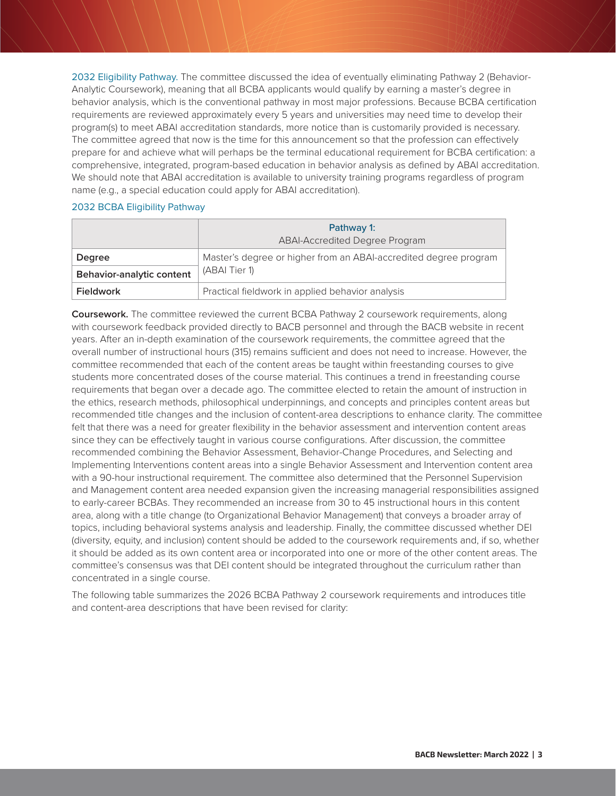<span id="page-2-0"></span>2032 Eligibility Pathway. The committee discussed the idea of eventually eliminating Pathway 2 (Behavior-Analytic Coursework), meaning that all BCBA applicants would qualify by earning a master's degree in behavior analysis, which is the conventional pathway in most major professions. Because BCBA certification requirements are reviewed approximately every 5 years and universities may need time to develop their program(s) to meet ABAI accreditation standards, more notice than is customarily provided is necessary. The committee agreed that now is the time for this announcement so that the profession can effectively prepare for and achieve what will perhaps be the terminal educational requirement for BCBA certification: a comprehensive, integrated, program-based education in behavior analysis as defined by ABAI accreditation. We should note that ABAI accreditation is available to university training programs regardless of program name (e.g., a special education could apply for ABAI accreditation).

#### 2032 BCBA Eligibility Pathway

|                           | Pathway 1:<br><b>ABAI-Accredited Degree Program</b>                               |  |
|---------------------------|-----------------------------------------------------------------------------------|--|
| <b>Degree</b>             | Master's degree or higher from an ABAI-accredited degree program<br>(ABAI Tier 1) |  |
| Behavior-analytic content |                                                                                   |  |
| <b>Fieldwork</b>          | Practical fieldwork in applied behavior analysis                                  |  |

**Coursework.** The committee reviewed the current BCBA Pathway 2 coursework requirements, along with coursework feedback provided directly to BACB personnel and through the BACB website in recent years. After an in-depth examination of the coursework requirements, the committee agreed that the overall number of instructional hours (315) remains sufficient and does not need to increase. However, the committee recommended that each of the content areas be taught within freestanding courses to give students more concentrated doses of the course material. This continues a trend in freestanding course requirements that began over a decade ago. The committee elected to retain the amount of instruction in the ethics, research methods, philosophical underpinnings, and concepts and principles content areas but recommended title changes and the inclusion of content-area descriptions to enhance clarity. The committee felt that there was a need for greater flexibility in the behavior assessment and intervention content areas since they can be effectively taught in various course configurations. After discussion, the committee recommended combining the Behavior Assessment, Behavior-Change Procedures, and Selecting and Implementing Interventions content areas into a single Behavior Assessment and Intervention content area with a 90-hour instructional requirement. The committee also determined that the Personnel Supervision and Management content area needed expansion given the increasing managerial responsibilities assigned to early-career BCBAs. They recommended an increase from 30 to 45 instructional hours in this content area, along with a title change (to Organizational Behavior Management) that conveys a broader array of topics, including behavioral systems analysis and leadership. Finally, the committee discussed whether DEI (diversity, equity, and inclusion) content should be added to the coursework requirements and, if so, whether it should be added as its own content area or incorporated into one or more of the other content areas. The committee's consensus was that DEI content should be integrated throughout the curriculum rather than concentrated in a single course.

The following table summarizes the 2026 BCBA Pathway 2 coursework requirements and introduces title and content-area descriptions that have been revised for clarity: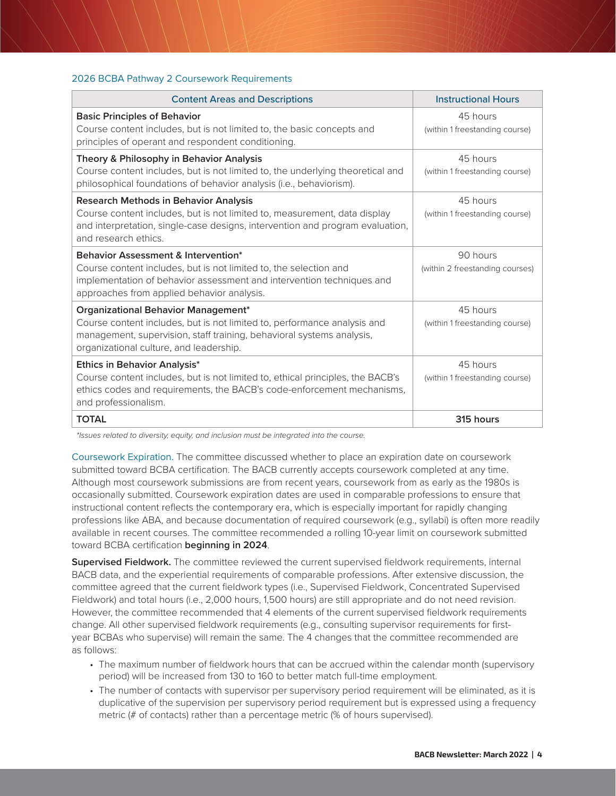#### 2026 BCBA Pathway 2 Coursework Requirements

| <b>Content Areas and Descriptions</b>                                                                                                                                                                                                      | <b>Instructional Hours</b>                  |
|--------------------------------------------------------------------------------------------------------------------------------------------------------------------------------------------------------------------------------------------|---------------------------------------------|
| <b>Basic Principles of Behavior</b><br>Course content includes, but is not limited to, the basic concepts and<br>principles of operant and respondent conditioning.                                                                        | 45 hours<br>(within 1 freestanding course)  |
| Theory & Philosophy in Behavior Analysis<br>Course content includes, but is not limited to, the underlying theoretical and<br>philosophical foundations of behavior analysis (i.e., behaviorism).                                          | 45 hours<br>(within 1 freestanding course)  |
| <b>Research Methods in Behavior Analysis</b><br>Course content includes, but is not limited to, measurement, data display<br>and interpretation, single-case designs, intervention and program evaluation,<br>and research ethics.         | 45 hours<br>(within 1 freestanding course)  |
| <b>Behavior Assessment &amp; Intervention*</b><br>Course content includes, but is not limited to, the selection and<br>implementation of behavior assessment and intervention techniques and<br>approaches from applied behavior analysis. | 90 hours<br>(within 2 freestanding courses) |
| <b>Organizational Behavior Management*</b><br>Course content includes, but is not limited to, performance analysis and<br>management, supervision, staff training, behavioral systems analysis,<br>organizational culture, and leadership. | 45 hours<br>(within 1 freestanding course)  |
| <b>Ethics in Behavior Analysis*</b><br>Course content includes, but is not limited to, ethical principles, the BACB's<br>ethics codes and requirements, the BACB's code-enforcement mechanisms,<br>and professionalism.                    | 45 hours<br>(within 1 freestanding course)  |
| <b>TOTAL</b>                                                                                                                                                                                                                               | 315 hours                                   |

*\*Issues related to diversity, equity, and inclusion must be integrated into the course.*

Coursework Expiration. The committee discussed whether to place an expiration date on coursework submitted toward BCBA certification. The BACB currently accepts coursework completed at any time. Although most coursework submissions are from recent years, coursework from as early as the 1980s is occasionally submitted. Coursework expiration dates are used in comparable professions to ensure that instructional content reflects the contemporary era, which is especially important for rapidly changing professions like ABA, and because documentation of required coursework (e.g., syllabi) is often more readily available in recent courses. The committee recommended a rolling 10-year limit on coursework submitted toward BCBA certification **beginning in 2024**.

**Supervised Fieldwork.** The committee reviewed the current supervised fieldwork requirements, internal BACB data, and the experiential requirements of comparable professions. After extensive discussion, the committee agreed that the current fieldwork types (i.e., Supervised Fieldwork, Concentrated Supervised Fieldwork) and total hours (i.e., 2,000 hours, 1,500 hours) are still appropriate and do not need revision. However, the committee recommended that 4 elements of the current supervised fieldwork requirements change. All other supervised fieldwork requirements (e.g., consulting supervisor requirements for firstyear BCBAs who supervise) will remain the same. The 4 changes that the committee recommended are as follows:

- The maximum number of fieldwork hours that can be accrued within the calendar month (supervisory period) will be increased from 130 to 160 to better match full-time employment.
- The number of contacts with supervisor per supervisory period requirement will be eliminated, as it is duplicative of the supervision per supervisory period requirement but is expressed using a frequency metric (# of contacts) rather than a percentage metric (% of hours supervised).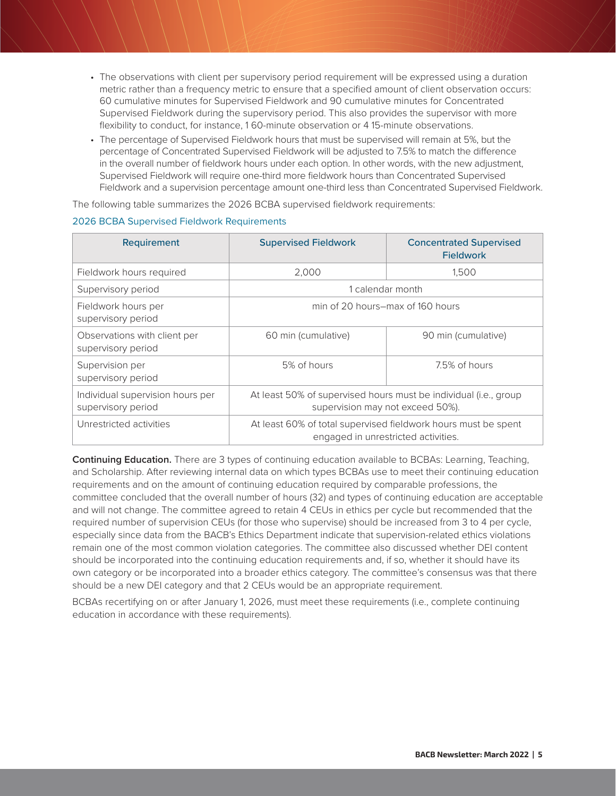- The observations with client per supervisory period requirement will be expressed using a duration metric rather than a frequency metric to ensure that a specified amount of client observation occurs: 60 cumulative minutes for Supervised Fieldwork and 90 cumulative minutes for Concentrated Supervised Fieldwork during the supervisory period. This also provides the supervisor with more flexibility to conduct, for instance, 1 60-minute observation or 4 15-minute observations.
- The percentage of Supervised Fieldwork hours that must be supervised will remain at 5%, but the percentage of Concentrated Supervised Fieldwork will be adjusted to 7.5% to match the difference in the overall number of fieldwork hours under each option. In other words, with the new adjustment, Supervised Fieldwork will require one-third more fieldwork hours than Concentrated Supervised Fieldwork and a supervision percentage amount one-third less than Concentrated Supervised Fieldwork.

The following table summarizes the 2026 BCBA supervised fieldwork requirements:

| Requirement                                            | <b>Supervised Fieldwork</b>                                                                           | <b>Concentrated Supervised</b><br><b>Fieldwork</b> |  |
|--------------------------------------------------------|-------------------------------------------------------------------------------------------------------|----------------------------------------------------|--|
| Fieldwork hours required                               | 2,000                                                                                                 | 1,500                                              |  |
| Supervisory period                                     | 1 calendar month                                                                                      |                                                    |  |
| Fieldwork hours per<br>supervisory period              | min of 20 hours–max of 160 hours                                                                      |                                                    |  |
| Observations with client per<br>supervisory period     | 60 min (cumulative)                                                                                   | 90 min (cumulative)                                |  |
| Supervision per<br>supervisory period                  | 5% of hours                                                                                           | 7.5% of hours                                      |  |
| Individual supervision hours per<br>supervisory period | At least 50% of supervised hours must be individual (i.e., group<br>supervision may not exceed 50%).  |                                                    |  |
| Unrestricted activities                                | At least 60% of total supervised fieldwork hours must be spent<br>engaged in unrestricted activities. |                                                    |  |

#### 2026 BCBA Supervised Fieldwork Requirements

**Continuing Education.** There are 3 types of continuing education available to BCBAs: Learning, Teaching, and Scholarship. After reviewing internal data on which types BCBAs use to meet their continuing education requirements and on the amount of continuing education required by comparable professions, the committee concluded that the overall number of hours (32) and types of continuing education are acceptable and will not change. The committee agreed to retain 4 CEUs in ethics per cycle but recommended that the required number of supervision CEUs (for those who supervise) should be increased from 3 to 4 per cycle, especially since data from the BACB's Ethics Department indicate that supervision-related ethics violations remain one of the most common violation categories. The committee also discussed whether DEI content should be incorporated into the continuing education requirements and, if so, whether it should have its own category or be incorporated into a broader ethics category. The committee's consensus was that there should be a new DEI category and that 2 CEUs would be an appropriate requirement.

BCBAs recertifying on or after January 1, 2026, must meet these requirements (i.e., complete continuing education in accordance with these requirements).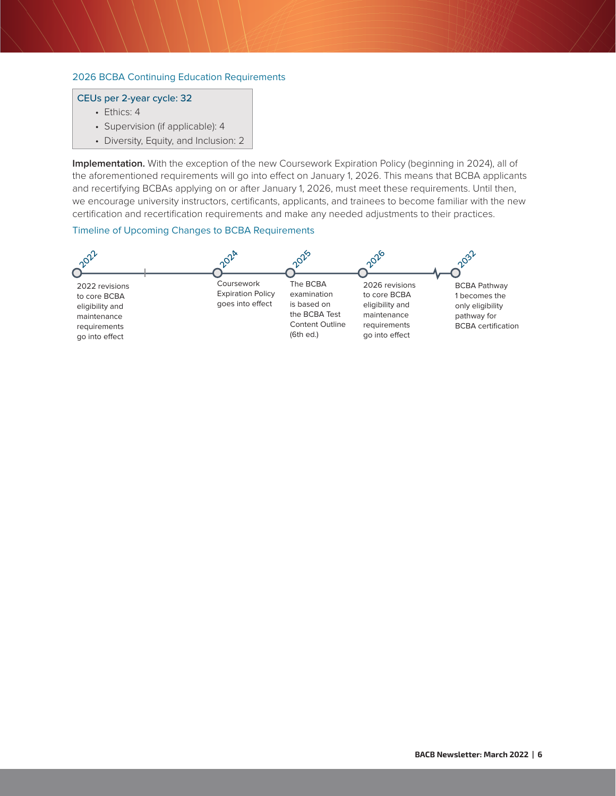#### 2026 BCBA Continuing Education Requirements

#### CEUs per 2-year cycle: 32

- Ethics: 4
- Supervision (if applicable): 4
- Diversity, Equity, and Inclusion: 2

**Implementation.** With the exception of the new Coursework Expiration Policy (beginning in 2024), all of the aforementioned requirements will go into effect on January 1, 2026. This means that BCBA applicants and recertifying BCBAs applying on or after January 1, 2026, must meet these requirements. Until then, we encourage university instructors, certificants, applicants, and trainees to become familiar with the new certification and recertification requirements and make any needed adjustments to their practices.

#### Timeline of Upcoming Changes to BCBA Requirements

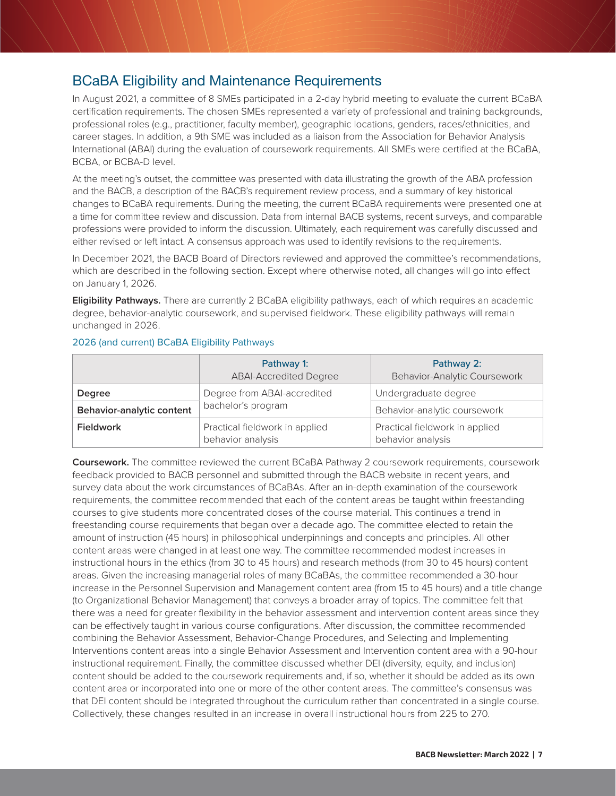## <span id="page-6-0"></span>BCaBA Eligibility and Maintenance Requirements

In August 2021, a committee of 8 SMEs participated in a 2-day hybrid meeting to evaluate the current BCaBA certification requirements. The chosen SMEs represented a variety of professional and training backgrounds, professional roles (e.g., practitioner, faculty member), geographic locations, genders, races/ethnicities, and career stages. In addition, a 9th SME was included as a liaison from the Association for Behavior Analysis International (ABAI) during the evaluation of coursework requirements. All SMEs were certified at the BCaBA, BCBA, or BCBA-D level.

At the meeting's outset, the committee was presented with data illustrating the growth of the ABA profession and the BACB, a description of the BACB's requirement review process, and a summary of key historical changes to BCaBA requirements. During the meeting, the current BCaBA requirements were presented one at a time for committee review and discussion. Data from internal BACB systems, recent surveys, and comparable professions were provided to inform the discussion. Ultimately, each requirement was carefully discussed and either revised or left intact. A consensus approach was used to identify revisions to the requirements.

In December 2021, the BACB Board of Directors reviewed and approved the committee's recommendations, which are described in the following section. Except where otherwise noted, all changes will go into effect on January 1, 2026.

**Eligibility Pathways.** There are currently 2 BCaBA eligibility pathways, each of which requires an academic degree, behavior-analytic coursework, and supervised fieldwork. These eligibility pathways will remain unchanged in 2026.

|                           | Pathway 1:<br><b>ABAI-Accredited Degree</b>         | Pathway 2:<br>Behavior-Analytic Coursework          |
|---------------------------|-----------------------------------------------------|-----------------------------------------------------|
| <b>Degree</b>             | Degree from ABAI-accredited                         | Undergraduate degree                                |
| Behavior-analytic content | bachelor's program                                  | Behavior-analytic coursework                        |
| <b>Fieldwork</b>          | Practical fieldwork in applied<br>behavior analysis | Practical fieldwork in applied<br>behavior analysis |

#### 2026 (and current) BCaBA Eligibility Pathways

**Coursework.** The committee reviewed the current BCaBA Pathway 2 coursework requirements, coursework feedback provided to BACB personnel and submitted through the BACB website in recent years, and survey data about the work circumstances of BCaBAs. After an in-depth examination of the coursework requirements, the committee recommended that each of the content areas be taught within freestanding courses to give students more concentrated doses of the course material. This continues a trend in freestanding course requirements that began over a decade ago. The committee elected to retain the amount of instruction (45 hours) in philosophical underpinnings and concepts and principles. All other content areas were changed in at least one way. The committee recommended modest increases in instructional hours in the ethics (from 30 to 45 hours) and research methods (from 30 to 45 hours) content areas. Given the increasing managerial roles of many BCaBAs, the committee recommended a 30-hour increase in the Personnel Supervision and Management content area (from 15 to 45 hours) and a title change (to Organizational Behavior Management) that conveys a broader array of topics. The committee felt that there was a need for greater flexibility in the behavior assessment and intervention content areas since they can be effectively taught in various course configurations. After discussion, the committee recommended combining the Behavior Assessment, Behavior-Change Procedures, and Selecting and Implementing Interventions content areas into a single Behavior Assessment and Intervention content area with a 90-hour instructional requirement. Finally, the committee discussed whether DEI (diversity, equity, and inclusion) content should be added to the coursework requirements and, if so, whether it should be added as its own content area or incorporated into one or more of the other content areas. The committee's consensus was that DEI content should be integrated throughout the curriculum rather than concentrated in a single course. Collectively, these changes resulted in an increase in overall instructional hours from 225 to 270.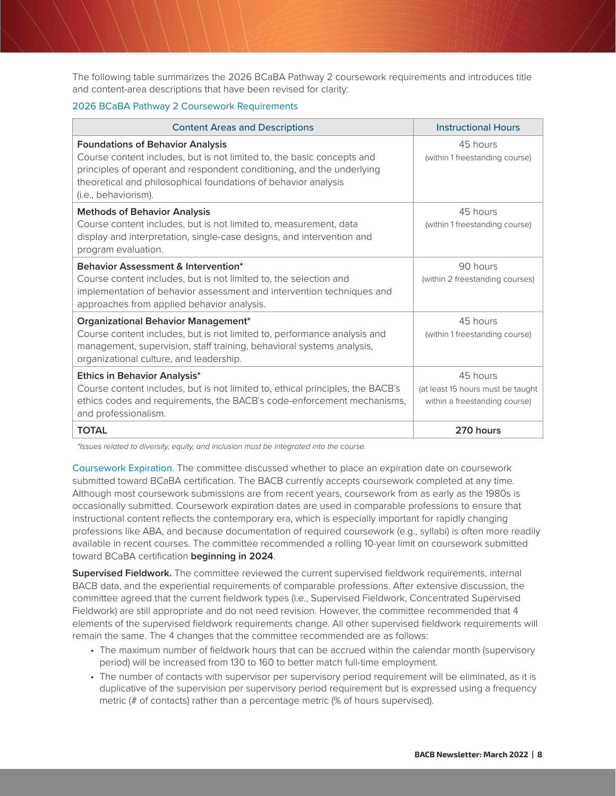The following table summarizes the 2026 BCaBA Pathway 2 coursework requirements and introduces title and content-area descriptions that have been revised for clarity:

#### 2026 BCaBA Pathway 2 Coursework Requirements

| <b>Content Areas and Descriptions</b>                                                                                                                                                                                                                                                | <b>Instructional Hours</b>                                                     |
|--------------------------------------------------------------------------------------------------------------------------------------------------------------------------------------------------------------------------------------------------------------------------------------|--------------------------------------------------------------------------------|
| <b>Foundations of Behavior Analysis</b><br>Course content includes, but is not limited to, the basic concepts and<br>principles of operant and respondent conditioning, and the underlying<br>theoretical and philosophical foundations of behavior analysis<br>(i.e., behaviorism). | 45 hours<br>(within 1 freestanding course)                                     |
| <b>Methods of Behavior Analysis</b><br>Course content includes, but is not limited to, measurement, data<br>display and interpretation, single-case designs, and intervention and<br>program evaluation.                                                                             | 45 hours<br>(within 1 freestanding course)                                     |
| <b>Behavior Assessment &amp; Intervention*</b><br>Course content includes, but is not limited to, the selection and<br>implementation of behavior assessment and intervention techniques and<br>approaches from applied behavior analysis.                                           | 90 hours<br>(within 2 freestanding courses)                                    |
| Organizational Behavior Management*<br>Course content includes, but is not limited to, performance analysis and<br>management, supervision, staff training, behavioral systems analysis,<br>organizational culture, and leadership.                                                  | 45 hours<br>(within 1 freestanding course)                                     |
| <b>Ethics in Behavior Analysis*</b><br>Course content includes, but is not limited to, ethical principles, the BACB's<br>ethics codes and requirements, the BACB's code-enforcement mechanisms,<br>and professionalism.                                                              | 45 hours<br>(at least 15 hours must be taught<br>within a freestanding course) |
| <b>TOTAL</b>                                                                                                                                                                                                                                                                         | 270 hours                                                                      |

*\*Issues related to diversity, equity, and inclusion must be integrated into the course.*

Coursework Expiration. The committee discussed whether to place an expiration date on coursework submitted toward BCaBA certification. The BACB currently accepts coursework completed at any time. Although most coursework submissions are from recent years, coursework from as early as the 1980s is occasionally submitted. Coursework expiration dates are used in comparable professions to ensure that instructional content reflects the contemporary era, which is especially important for rapidly changing professions like ABA, and because documentation of required coursework (e.g., syllabi) is often more readily available in recent courses. The committee recommended a rolling 10-year limit on coursework submitted toward BCaBA certification **beginning in 2024**.

**Supervised Fieldwork.** The committee reviewed the current supervised fieldwork requirements, internal BACB data, and the experiential requirements of comparable professions. After extensive discussion, the committee agreed that the current fieldwork types (i.e., Supervised Fieldwork, Concentrated Supervised Fieldwork) are still appropriate and do not need revision. However, the committee recommended that 4 elements of the supervised fieldwork requirements change. All other supervised fieldwork requirements will remain the same. The 4 changes that the committee recommended are as follows:

- The maximum number of fieldwork hours that can be accrued within the calendar month (supervisory period) will be increased from 130 to 160 to better match full-time employment.
- The number of contacts with supervisor per supervisory period requirement will be eliminated, as it is duplicative of the supervision per supervisory period requirement but is expressed using a frequency metric (# of contacts) rather than a percentage metric (% of hours supervised).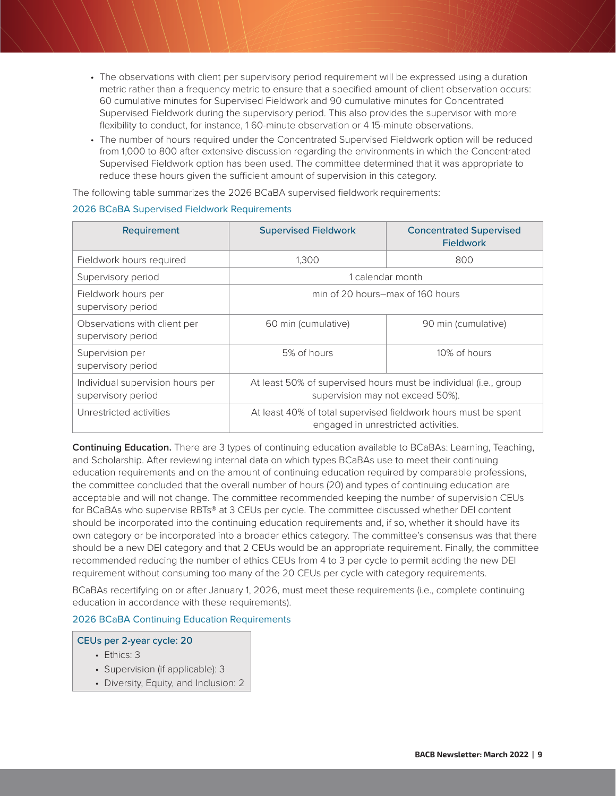- The observations with client per supervisory period requirement will be expressed using a duration metric rather than a frequency metric to ensure that a specified amount of client observation occurs: 60 cumulative minutes for Supervised Fieldwork and 90 cumulative minutes for Concentrated Supervised Fieldwork during the supervisory period. This also provides the supervisor with more flexibility to conduct, for instance, 1 60-minute observation or 4 15-minute observations.
- The number of hours required under the Concentrated Supervised Fieldwork option will be reduced from 1,000 to 800 after extensive discussion regarding the environments in which the Concentrated Supervised Fieldwork option has been used. The committee determined that it was appropriate to reduce these hours given the sufficient amount of supervision in this category.

The following table summarizes the 2026 BCaBA supervised fieldwork requirements:

| Requirement                                            | <b>Supervised Fieldwork</b>                                                                           | <b>Concentrated Supervised</b><br><b>Fieldwork</b> |  |
|--------------------------------------------------------|-------------------------------------------------------------------------------------------------------|----------------------------------------------------|--|
| Fieldwork hours required                               | 1.300                                                                                                 | 800                                                |  |
| Supervisory period                                     | 1 calendar month                                                                                      |                                                    |  |
| Fieldwork hours per<br>supervisory period              | min of 20 hours–max of 160 hours                                                                      |                                                    |  |
| Observations with client per<br>supervisory period     | 60 min (cumulative)                                                                                   | 90 min (cumulative)                                |  |
| Supervision per<br>supervisory period                  | 5% of hours                                                                                           | 10% of hours                                       |  |
| Individual supervision hours per<br>supervisory period | At least 50% of supervised hours must be individual (i.e., group<br>supervision may not exceed 50%).  |                                                    |  |
| Unrestricted activities                                | At least 40% of total supervised fieldwork hours must be spent<br>engaged in unrestricted activities. |                                                    |  |

#### 2026 BCaBA Supervised Fieldwork Requirements

**Continuing Education.** There are 3 types of continuing education available to BCaBAs: Learning, Teaching, and Scholarship. After reviewing internal data on which types BCaBAs use to meet their continuing education requirements and on the amount of continuing education required by comparable professions, the committee concluded that the overall number of hours (20) and types of continuing education are acceptable and will not change. The committee recommended keeping the number of supervision CEUs for BCaBAs who supervise RBTs® at 3 CEUs per cycle. The committee discussed whether DEI content should be incorporated into the continuing education requirements and, if so, whether it should have its own category or be incorporated into a broader ethics category. The committee's consensus was that there should be a new DEI category and that 2 CEUs would be an appropriate requirement. Finally, the committee recommended reducing the number of ethics CEUs from 4 to 3 per cycle to permit adding the new DEI requirement without consuming too many of the 20 CEUs per cycle with category requirements.

BCaBAs recertifying on or after January 1, 2026, must meet these requirements (i.e., complete continuing education in accordance with these requirements).

2026 BCaBA Continuing Education Requirements

#### CEUs per 2-year cycle: 20

- Ethics: 3
- Supervision (if applicable): 3
- Diversity, Equity, and Inclusion: 2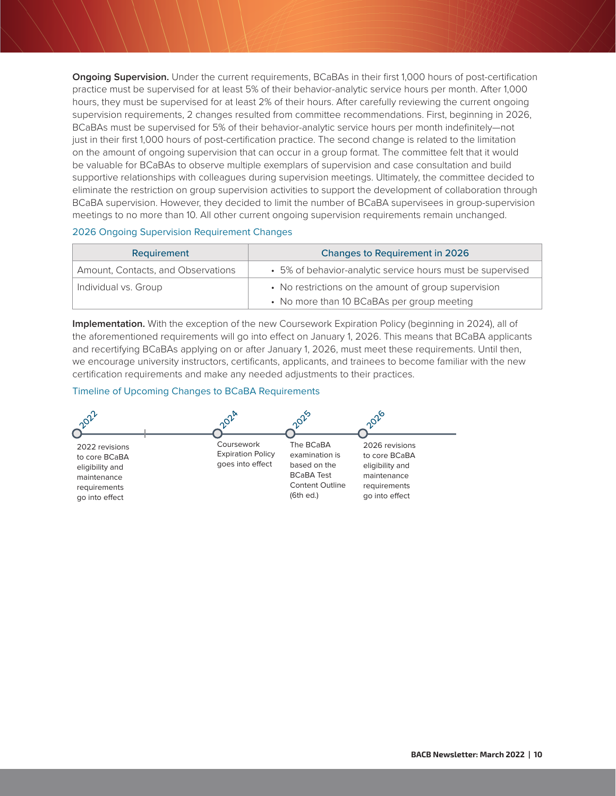**Ongoing Supervision.** Under the current requirements, BCaBAs in their first 1,000 hours of post-certification practice must be supervised for at least 5% of their behavior-analytic service hours per month. After 1,000 hours, they must be supervised for at least 2% of their hours. After carefully reviewing the current ongoing supervision requirements, 2 changes resulted from committee recommendations. First, beginning in 2026, BCaBAs must be supervised for 5% of their behavior-analytic service hours per month indefinitely—not just in their first 1,000 hours of post-certification practice. The second change is related to the limitation on the amount of ongoing supervision that can occur in a group format. The committee felt that it would be valuable for BCaBAs to observe multiple exemplars of supervision and case consultation and build supportive relationships with colleagues during supervision meetings. Ultimately, the committee decided to eliminate the restriction on group supervision activities to support the development of collaboration through BCaBA supervision. However, they decided to limit the number of BCaBA supervisees in group-supervision meetings to no more than 10. All other current ongoing supervision requirements remain unchanged.

#### 2026 Ongoing Supervision Requirement Changes

| Requirement                        | <b>Changes to Requirement in 2026</b>                                                              |  |
|------------------------------------|----------------------------------------------------------------------------------------------------|--|
| Amount, Contacts, and Observations | • 5% of behavior-analytic service hours must be supervised                                         |  |
| Individual vs. Group               | • No restrictions on the amount of group supervision<br>• No more than 10 BCaBAs per group meeting |  |

**Implementation.** With the exception of the new Coursework Expiration Policy (beginning in 2024), all of the aforementioned requirements will go into effect on January 1, 2026. This means that BCaBA applicants and recertifying BCaBAs applying on or after January 1, 2026, must meet these requirements. Until then, we encourage university instructors, certificants, applicants, and trainees to become familiar with the new certification requirements and make any needed adjustments to their practices.

#### Timeline of Upcoming Changes to BCaBA Requirements